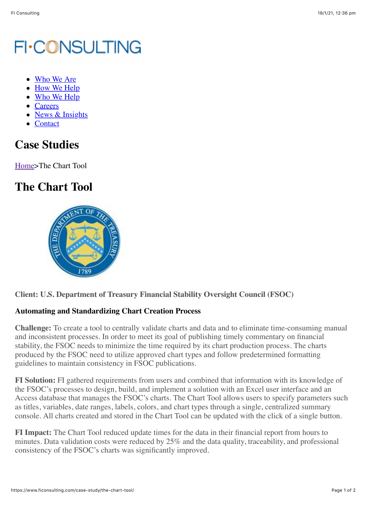# **FI-CONSULTING**

- [Who We Are](https://www.ficonsulting.com/who-we-are/)
- [How We Help](https://www.ficonsulting.com/how-we-help/)
- [Who We Help](https://www.ficonsulting.com/who-we-help/)
- [Careers](https://www.ficonsulting.com/careers/)
- [News & Insights](https://www.ficonsulting.com/news-insights/)
- [Contact](https://www.ficonsulting.com/contact/)

## **Case Studies**

[Home>](https://www.ficonsulting.com/)The Chart Tool

## **The Chart Tool**



### **Client: U.S. Department of Treasury Financial Stability Oversight Council (FSOC)**

### **Automating and Standardizing Chart Creation Process**

**Challenge:** To create a tool to centrally validate charts and data and to eliminate time-consuming manual and inconsistent processes. In order to meet its goal of publishing timely commentary on financial stability, the FSOC needs to minimize the time required by its chart production process. The charts produced by the FSOC need to utilize approved chart types and follow predetermined formatting guidelines to maintain consistency in FSOC publications.

**FI Solution:** FI gathered requirements from users and combined that information with its knowledge of the FSOC's processes to design, build, and implement a solution with an Excel user interface and an Access database that manages the FSOC's charts. The Chart Tool allows users to specify parameters such as titles, variables, date ranges, labels, colors, and chart types through a single, centralized summary console. All charts created and stored in the Chart Tool can be updated with the click of a single button.

**FI Impact:** The Chart Tool reduced update times for the data in their financial report from hours to minutes. Data validation costs were reduced by 25% and the data quality, traceability, and professional consistency of the FSOC's charts was significantly improved.